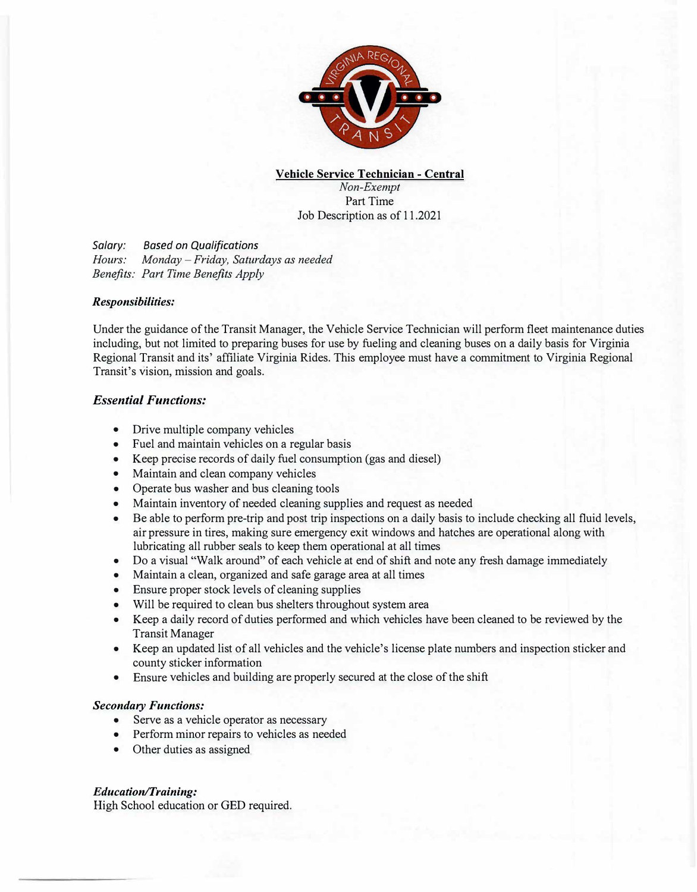

**Vehicle Service Technician** - **Central** *Non-Exempt*  Part Time Job Description as of 11.2021

*Salary: Based on Qualifications Hours: Monday* - *Friday, Saturdays as needed Benefits: Part Time Benefits Apply* 

#### *Responsibilities:*

Under the guidance of the Transit Manager, the Vehicle Service Technician will perform fleet maintenance duties including, but not limited to preparing buses for use by fueling and cleaning buses on a daily basis for Virginia Regional Transit and its' affiliate Virginia Rides. This employee must have a commitment to Virginia Regional Transit's vision, mission and goals.

### *Essential Functions:*

- Drive multiple company vehicles
- Fuel and maintain vehicles on a regular basis
- Keep precise records of daily fuel consumption (gas and diesel)
- Maintain and clean company vehicles
- Operate bus washer and bus cleaning tools
- Maintain inventory of needed cleaning supplies and request as needed
- Be able to perform pre-trip and post trip inspections on a daily basis to include checking all fluid levels, air pressure in tires, making sure emergency exit windows and hatches are operational along with lubricating all rubber seals to keep them operational at all times
- Do a visual "Walk around" of each vehicle at end of shift and note any fresh damage immediately
- Maintain a clean, organized and safe garage area at all times
- Ensure proper stock levels of cleaning supplies
- Will be required to clean bus shelters throughout system area
- Keep a daily record of duties performed and which vehicles have been cleaned to be reviewed by the Transit Manager
- Keep an updated list of all vehicles and the vehicle's license plate numbers and inspection sticker and county sticker information
- Ensure vehicles and building are properly secured at the close of the shift

### **Secondary Functions:**

- Serve as a vehicle operator as necessary
- Perform minor repairs to vehicles as needed
- Other duties as assigned

### *Education*/*Training:*

High School education or GED required.